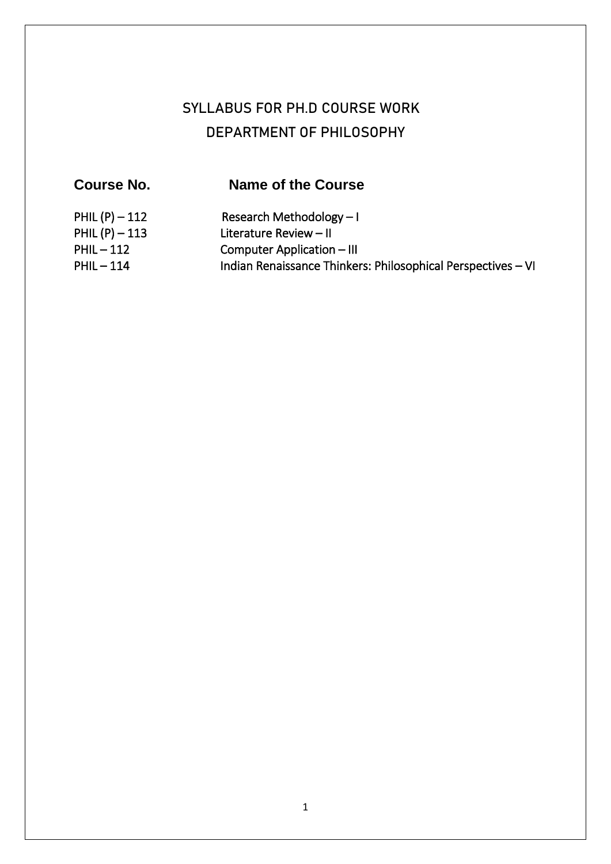# **SYLLABUS FOR PH.D COURSE WORK DEPARTMENT OF PHILOSOPHY**

| <b>Course No.</b> | Name of the Course                                           |
|-------------------|--------------------------------------------------------------|
| PHIL $(P) - 112$  | Research Methodology $-1$                                    |
| PHIL $(P) - 113$  | Literature Review - II                                       |
| $PHIL - 112$      | Computer Application - III                                   |
| $PHIL - 114$      | Indian Renaissance Thinkers: Philosophical Perspectives - VI |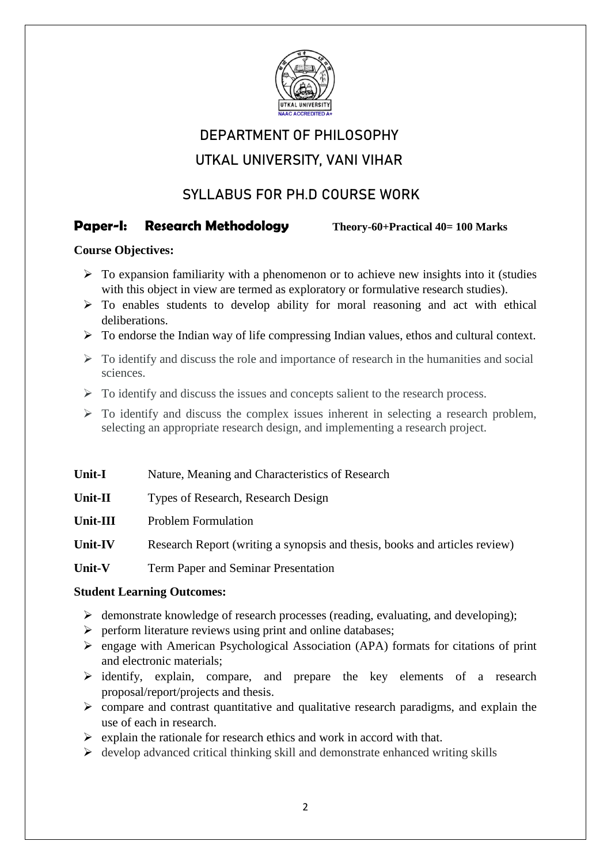

# **DEPARTMENT OF PHILOSOPHY**

# **UTKAL UNIVERSITY, VANI VIHAR**

# **SYLLABUS FOR PH.D COURSE WORK**

## **Paper-I: Research Methodology Theory-60+Practical 40= 100 Marks**

### **Course Objectives:**

- $\triangleright$  To expansion familiarity with a phenomenon or to achieve new insights into it (studies with this object in view are termed as exploratory or formulative research studies).
- $\triangleright$  To enables students to develop ability for moral reasoning and act with ethical deliberations.
- $\triangleright$  To endorse the Indian way of life compressing Indian values, ethos and cultural context.
- $\triangleright$  To identify and discuss the role and importance of research in the humanities and social sciences.
- $\triangleright$  To identify and discuss the issues and concepts salient to the research process.
- $\triangleright$  To identify and discuss the complex issues inherent in selecting a research problem, selecting an appropriate research design, and implementing a research project.

| Unit-I |  |  | Nature, Meaning and Characteristics of Research |  |
|--------|--|--|-------------------------------------------------|--|
|--------|--|--|-------------------------------------------------|--|

- **Unit-II** Types of Research, Research Design
- **Unit-III** Problem Formulation

Unit-IV Research Report (writing a synopsis and thesis, books and articles review)

**Unit-V** Term Paper and Seminar Presentation

### **Student Learning Outcomes:**

- $\triangleright$  demonstrate knowledge of research processes (reading, evaluating, and developing);
- $\triangleright$  perform literature reviews using print and online databases;
- $\triangleright$  engage with American Psychological Association (APA) formats for citations of print and electronic materials;
- $\triangleright$  identify, explain, compare, and prepare the key elements of a research proposal/report/projects and thesis.
- $\triangleright$  compare and contrast quantitative and qualitative research paradigms, and explain the use of each in research.
- $\triangleright$  explain the rationale for research ethics and work in accord with that.
- $\triangleright$  develop advanced critical thinking skill and demonstrate enhanced writing skills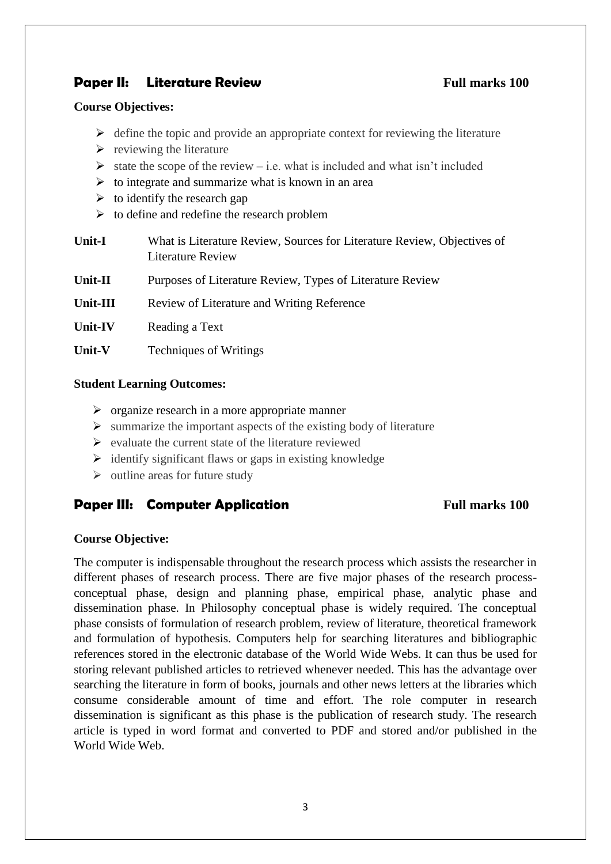# **Paper II:** Literature Review **Full marks 100**

#### **Course Objectives:**

- $\triangleright$  define the topic and provide an appropriate context for reviewing the literature
- $\triangleright$  reviewing the literature
- $\triangleright$  state the scope of the review i.e. what is included and what isn't included
- $\triangleright$  to integrate and summarize what is known in an area
- $\triangleright$  to identify the research gap
- $\triangleright$  to define and redefine the research problem

| <b>Unit-I</b> | What is Literature Review, Sources for Literature Review, Objectives of |
|---------------|-------------------------------------------------------------------------|
|               | Literature Review                                                       |
|               |                                                                         |

- **Unit-II** Purposes of Literature Review, Types of Literature Review
- **Unit-III** Review of Literature and Writing Reference
- Unit-IV Reading a Text
- **Unit-V** Techniques of Writings

#### **Student Learning Outcomes:**

- $\triangleright$  organize research in a more appropriate manner
- $\triangleright$  summarize the important aspects of the existing body of literature
- $\triangleright$  evaluate the current state of the literature reviewed
- $\triangleright$  identify significant flaws or gaps in existing knowledge
- $\triangleright$  outline areas for future study

## **Paper III:** Computer Application **Full marks 100**

#### **Course Objective:**

The computer is indispensable throughout the research process which assists the researcher in different phases of research process. There are five major phases of the research processconceptual phase, design and planning phase, empirical phase, analytic phase and dissemination phase. In Philosophy conceptual phase is widely required. The conceptual phase consists of formulation of research problem, review of literature, theoretical framework and formulation of hypothesis. Computers help for searching literatures and bibliographic references stored in the electronic database of the World Wide Webs. It can thus be used for storing relevant published articles to retrieved whenever needed. This has the advantage over searching the literature in form of books, journals and other news letters at the libraries which consume considerable amount of time and effort. The role computer in research dissemination is significant as this phase is the publication of research study. The research article is typed in word format and converted to PDF and stored and/or published in the World Wide Web.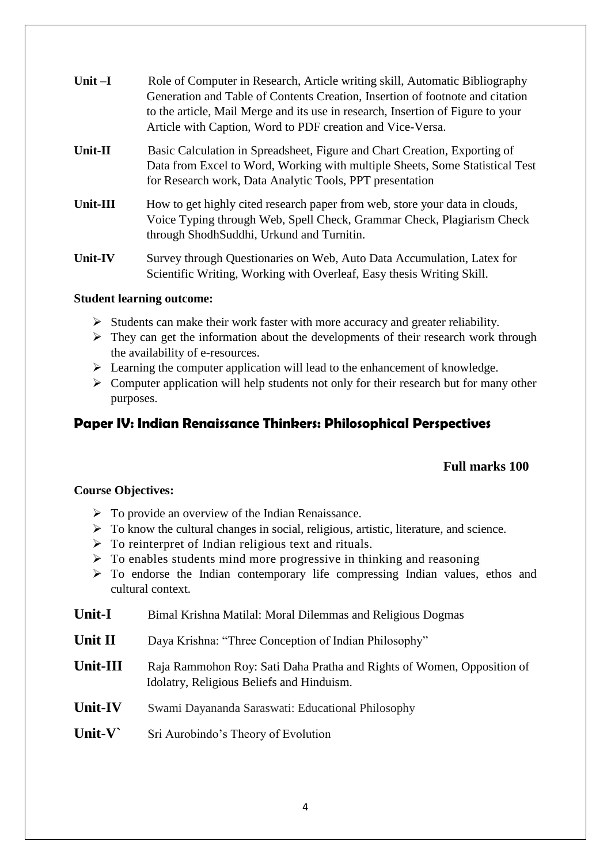| Unit $-I$      | Role of Computer in Research, Article writing skill, Automatic Bibliography<br>Generation and Table of Contents Creation, Insertion of footnote and citation<br>to the article, Mail Merge and its use in research, Insertion of Figure to your<br>Article with Caption, Word to PDF creation and Vice-Versa. |
|----------------|---------------------------------------------------------------------------------------------------------------------------------------------------------------------------------------------------------------------------------------------------------------------------------------------------------------|
| Unit-II        | Basic Calculation in Spreadsheet, Figure and Chart Creation, Exporting of<br>Data from Excel to Word, Working with multiple Sheets, Some Statistical Test<br>for Research work, Data Analytic Tools, PPT presentation                                                                                         |
| Unit-III       | How to get highly cited research paper from web, store your data in clouds,<br>Voice Typing through Web, Spell Check, Grammar Check, Plagiarism Check<br>through ShodhSuddhi, Urkund and Turnitin.                                                                                                            |
| <b>Unit-IV</b> | Survey through Questionaries on Web, Auto Data Accumulation, Latex for<br>Scientific Writing, Working with Overleaf, Easy thesis Writing Skill.                                                                                                                                                               |

#### **Student learning outcome:**

- $\triangleright$  Students can make their work faster with more accuracy and greater reliability.
- $\triangleright$  They can get the information about the developments of their research work through the availability of e-resources.
- $\triangleright$  Learning the computer application will lead to the enhancement of knowledge.
- $\triangleright$  Computer application will help students not only for their research but for many other purposes.

# **Paper IV: Indian Renaissance Thinkers: Philosophical Perspectives**

### **Full marks 100**

### **Course Objectives:**

- $\triangleright$  To provide an overview of the Indian Renaissance.
- $\triangleright$  To know the cultural changes in social, religious, artistic, literature, and science.
- $\triangleright$  To reinterpret of Indian religious text and rituals.
- $\triangleright$  To enables students mind more progressive in thinking and reasoning
- $\triangleright$  To endorse the Indian contemporary life compressing Indian values, ethos and cultural context.
- **Unit-I** Bimal Krishna Matilal: Moral Dilemmas and Religious Dogmas
- **Unit II** Daya Krishna: "Three Conception of Indian Philosophy"
- **Unit-III** Raja Rammohon Roy: Sati Daha Pratha and Rights of Women, Opposition of Idolatry, Religious Beliefs and Hinduism.
- **Unit-IV** Swami Dayananda Saraswati: Educational Philosophy
- Unit-V<sup>Sri</sup> Aurobindo's Theory of Evolution